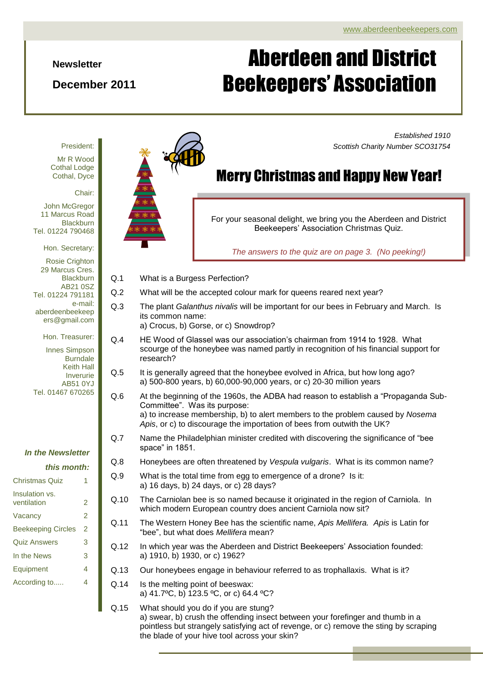*Scottish Charity Number SCO31754*

*Established 1910*

#### **Newsletter**

### **December 2011**

# Aberdeen and District Beekeepers' Association

President:

Mr R Wood Cothal Lodge Cothal, Dyce

Chair:

John McGregor 11 Marcus Road **Blackburn** Tel. 01224 790468

Hon. Secretary:

Rosie Crighton 29 Marcus Cres. **Blackburn** AB21 0SZ Tel. 01224 791181 e-mail: aberdeenbeekeep ers@gmail.com

Innes Simpson Burndale Keith Hall Inverurie AB51 0YJ Tel. 01467 670265

Hon. Treasurer:

|  |  | In the Newsletter |
|--|--|-------------------|
|--|--|-------------------|

#### *this month:*

| Christmas Quiz                |   |
|-------------------------------|---|
| Insulation vs.<br>ventilation | 2 |
| Vacancy                       | 2 |
| <b>Beekeeping Circles</b>     | 2 |
| <b>Quiz Answers</b>           | 3 |
| In the News                   | 3 |
| Equipment                     | 4 |
| According to                  | 4 |
|                               |   |



## Merry Christmas and Happy New Year!

For your seasonal delight, we bring you the Aberdeen and District Beekeepers' Association Christmas Quiz.

*The answers to the quiz are on page 3. (No peeking!)*

- Q.1 What is a Burgess Perfection?
- Q.2 What will be the accepted colour mark for queens reared next year?
- Q.3 The plant *Galanthus nivalis* will be important for our bees in February and March. Is its common name:
	- a) Crocus, b) Gorse, or c) Snowdrop?
- Q.4 HE Wood of Glassel was our association's chairman from 1914 to 1928. What scourge of the honeybee was named partly in recognition of his financial support for research?
- Q.5 It is generally agreed that the honeybee evolved in Africa, but how long ago? a) 500-800 years, b) 60,000-90,000 years, or c) 20-30 million years
- Q.6 At the beginning of the 1960s, the ADBA had reason to establish a "Propaganda Sub-Committee". Was its purpose: a) to increase membership, b) to alert members to the problem caused by *Nosema Apis*, or c) to discourage the importation of bees from outwith the UK?
- Q.7 Name the Philadelphian minister credited with discovering the significance of "bee space" in 1851.
- Q.8 Honeybees are often threatened by *Vespula vulgaris*. What is its common name?
- Q.9 What is the total time from egg to emergence of a drone? Is it: a) 16 days, b) 24 days, or c) 28 days?
- which modern European country does ancient Carniola now sit? Q.10 The Carniolan bee is so named because it originated in the region of Carniola. In
- Q.11 The Western Honey Bee has the scientific name, Apis Mellifera. Apis is Latin for "bee", but what does *Mellifera* mean?
- Q.12 In which year was the Aberdeen and District Beekeepers' Association founded: a) 1910, b) 1930, or c) 1962?
- Q.13 Our honeybees engage in behaviour referred to as trophallaxis. What is it?
- Q.14 Is the melting point of beeswax: a) 41.7ºC, b) 123.5 ºC, or c) 64.4 ºC?
- Q.15 What should you do if you are stung? a) swear, b) crush the offending insect between your forefinger and thumb in a pointless but strangely satisfying act of revenge, or c) remove the sting by scraping the blade of your hive tool across your skin?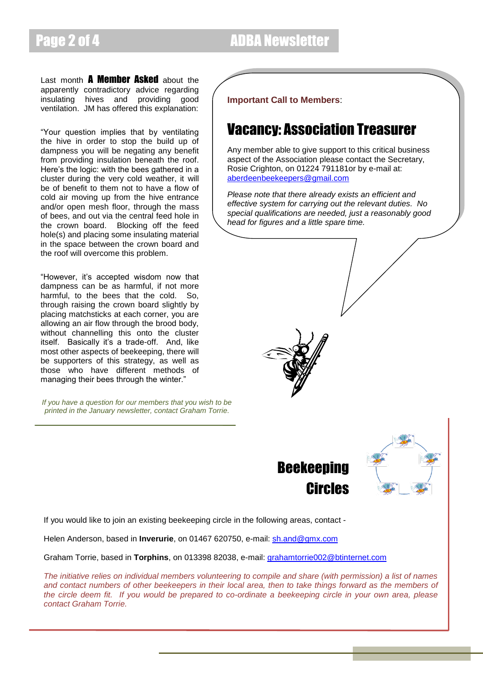Last month **A Member Asked** about the apparently contradictory advice regarding insulating hives and providing good ventilation. JM has offered this explanation:

"Your question implies that by ventilating the hive in order to stop the build up of dampness you will be negating any benefit from providing insulation beneath the roof. Here's the logic: with the bees gathered in a cluster during the very cold weather, it will be of benefit to them not to have a flow of cold air moving up from the hive entrance and/or open mesh floor, through the mass of bees, and out via the central feed hole in the crown board. Blocking off the feed hole(s) and placing some insulating material in the space between the crown board and the roof will overcome this problem.

"However, it's accepted wisdom now that dampness can be as harmful, if not more harmful, to the bees that the cold. So, through raising the crown board slightly by placing matchsticks at each corner, you are allowing an air flow through the brood body, without channelling this onto the cluster itself. Basically it's a trade-off. And, like most other aspects of beekeeping, there will be supporters of this strategy, as well as those who have different methods of managing their bees through the winter."

*If you have a question for our members that you wish to be printed in the January newsletter, contact Graham Torrie.*

**Important Call to Members**:

### Vacancy: Association Treasurer

Any member able to give support to this critical business aspect of the Association please contact the Secretary, Rosie Crighton, on 01224 791181or by e-mail at: [aberdeenbeekeepers@gmail.com](mailto:aberdeenbeekeepers@gmail.com)

*Please note that there already exists an efficient and effective system for carrying out the relevant duties. No special qualifications are needed, just a reasonably good head for figures and a little spare time.*







If you would like to join an existing beekeeping circle in the following areas, contact -

Helen Anderson, based in **Inverurie**, on 01467 620750, e-mail: [sh.and@gmx.com](mailto:sh.and@gmx.com)

Graham Torrie, based in **Torphins**, on 013398 82038, e-mail: [grahamtorrie002@btinternet.com](mailto:grahamtorrie002@btinternet.com)

*The initiative relies on individual members volunteering to compile and share (with permission) a list of names and contact numbers of other beekeepers in their local area, then to take things forward as the members of the circle deem fit. If you would be prepared to co-ordinate a beekeeping circle in your own area, please contact Graham Torrie.*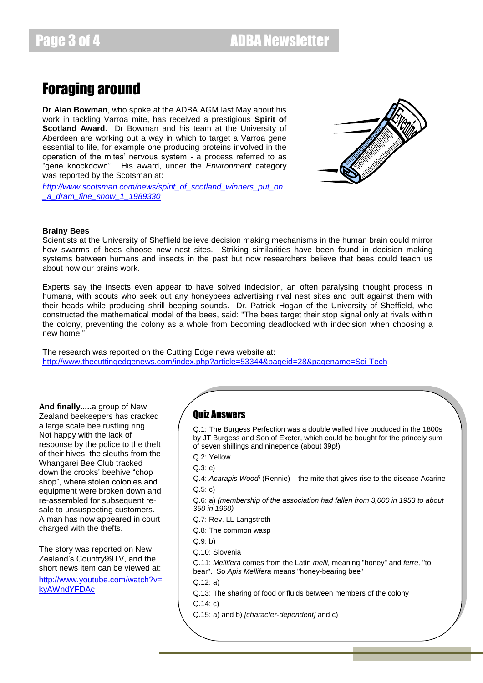Page 3 of 4 ADBA Newsletter

### Foraging around

**Dr Alan Bowman**, who spoke at the ADBA AGM last May about his work in tackling Varroa mite, has received a prestigious **Spirit of Scotland Award**. Dr Bowman and his team at the University of Aberdeen are working out a way in which to target a Varroa gene essential to life, for example one producing proteins involved in the operation of the mites' nervous system - a process referred to as "gene knockdown". His award, under the *Environment* category was reported by the Scotsman at:

*[http://www.scotsman.com/news/spirit\\_of\\_scotland\\_winners\\_put\\_on](http://www.scotsman.com/news/spirit_of_scotland_winners_put_on_a_dram_fine_show_1_1989330) [\\_a\\_dram\\_fine\\_show\\_1\\_1989330](http://www.scotsman.com/news/spirit_of_scotland_winners_put_on_a_dram_fine_show_1_1989330)*



#### **Brainy Bees**

Scientists at the University of Sheffield believe decision making mechanisms in the human brain could mirror how swarms of bees choose new nest sites. Striking similarities have been found in decision making systems between humans and insects in the past but now researchers believe that bees could teach us about how our brains work.

Experts say the insects even appear to have solved indecision, an often paralysing thought process in humans, with scouts who seek out any honeybees advertising rival nest sites and butt against them with their heads while producing shrill beeping sounds. Dr. Patrick Hogan of the University of Sheffield, who constructed the mathematical model of the bees, said: "The bees target their stop signal only at rivals within the colony, preventing the colony as a whole from becoming deadlocked with indecision when choosing a new home."

The research was reported on the Cutting Edge news website at: <http://www.thecuttingedgenews.com/index.php?article=53344&pageid=28&pagename=Sci-Tech>

**And finally.....**a group of New Zealand beekeepers has cracked a large scale bee rustling ring. Not happy with the lack of response by the police to the theft of their hives, the sleuths from the Whangarei Bee Club tracked down the crooks' beehive "chop shop", where stolen colonies and equipment were broken down and re-assembled for subsequent resale to unsuspecting customers. A man has now appeared in court charged with the thefts.

The story was reported on New Zealand's Country99TV, and the short news item can be viewed at: [http://www.youtube.com/watch?v=](http://www.youtube.com/watch?v=kyAWndYFDAc) [kyAWndYFDAc](http://www.youtube.com/watch?v=kyAWndYFDAc)

#### Quiz Answers

Q.1: The Burgess Perfection was a double walled hive produced in the 1800s by JT Burgess and Son of Exeter, which could be bought for the princely sum of seven shillings and ninepence (about 39p!)

Q.2: Yellow

Q.3: c)

Q.4: *Acarapis Woodi* (Rennie) – the mite that gives rise to the disease Acarine Q.5: c)

- Q.6: a) *(membership of the association had fallen from 3,000 in 1953 to about 350 in 1960)*
- Q.7: Rev. LL Langstroth

Q.8: The common wasp

- Q.9: b)
- Q.10: Slovenia

Q.11: *Mellifera* comes from the Latin *melli,* meaning "honey" and *ferre,* "to bear". So *Apis Mellifera* means "honey-bearing bee"

Q.12: a)

Q.13: The sharing of food or fluids between members of the colony

 $Q$  14 $\cdot$  c)

Q.15: a) and b) *[character-dependent]* and c)